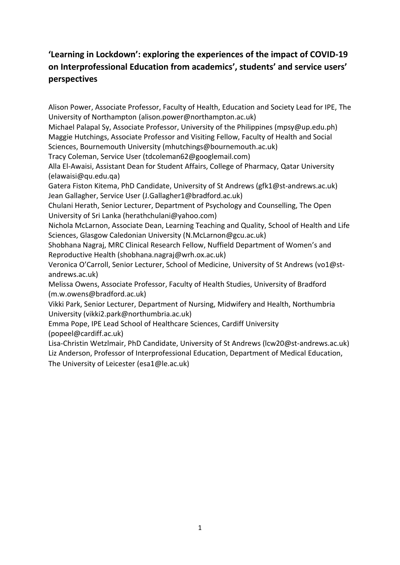# **'Learning in Lockdown': exploring the experiences of the impact of COVID-19 on Interprofessional Education from academics', students' and service users' perspectives**

Alison Power, Associate Professor, Faculty of Health, Education and Society Lead for IPE, The University of Northampton (alison.power@northampton.ac.uk)

Michael Palapal Sy, Associate Professor, University of the Philippines (mpsy@up.edu.ph) Maggie Hutchings, Associate Professor and Visiting Fellow, Faculty of Health and Social Sciences, Bournemouth University (mhutchings@bournemouth.ac.uk)

Tracy Coleman, Service User (tdcoleman62@googlemail.com)

Alla El-Awaisi, Assistant Dean for Student Affairs, College of Pharmacy, Qatar University (elawaisi@qu.edu.qa)

Gatera Fiston Kitema, PhD Candidate, University of St Andrews (gfk1@st-andrews.ac.uk) Jean Gallagher, Service User (J.Gallagher1@bradford.ac.uk)

Chulani Herath, Senior Lecturer, Department of Psychology and Counselling, The Open University of Sri Lanka (herathchulani@yahoo.com)

Nichola McLarnon, Associate Dean, Learning Teaching and Quality, School of Health and Life Sciences, Glasgow Caledonian University (N.McLarnon@gcu.ac.uk)

Shobhana Nagraj, MRC Clinical Research Fellow, Nuffield Department of Women's and Reproductive Health (shobhana.nagraj@wrh.ox.ac.uk)

Veronica O'Carroll, Senior Lecturer, School of Medicine, University of St Andrews (vo1@standrews.ac.uk)

Melissa Owens, Associate Professor, Faculty of Health Studies, University of Bradford (m.w.owens@bradford.ac.uk)

Vikki Park, Senior Lecturer, Department of Nursing, Midwifery and Health, Northumbria University (vikki2.park@northumbria.ac.uk)

Emma Pope, IPE Lead School of Healthcare Sciences, Cardiff University (popeel@cardiff.ac.uk)

Lisa-Christin Wetzlmair, PhD Candidate, University of St Andrews (lcw20@st-andrews.ac.uk) Liz Anderson, Professor of Interprofessional Education, Department of Medical Education, The University of Leicester (esa1@le.ac.uk)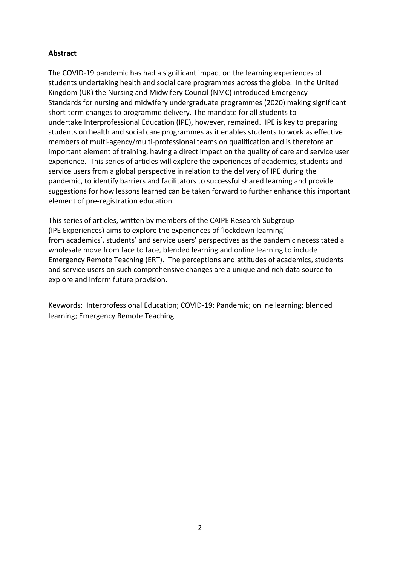## **Abstract**

The COVID-19 pandemic has had a significant impact on the learning experiences of students undertaking health and social care programmes across the globe. In the United Kingdom (UK) the Nursing and Midwifery Council (NMC) introduced Emergency Standards for nursing and midwifery undergraduate programmes (2020) making significant short-term changes to programme delivery. The mandate for all students to undertake Interprofessional Education (IPE), however, remained. IPE is key to preparing students on health and social care programmes as it enables students to work as effective members of multi-agency/multi-professional teams on qualification and is therefore an important element of training, having a direct impact on the quality of care and service user experience. This series of articles will explore the experiences of academics, students and service users from a global perspective in relation to the delivery of IPE during the pandemic, to identify barriers and facilitators to successful shared learning and provide suggestions for how lessons learned can be taken forward to further enhance this important element of pre-registration education.

This series of articles, written by members of the CAIPE Research Subgroup (IPE Experiences) aims to explore the experiences of 'lockdown learning' from academics', students' and service users' perspectives as the pandemic necessitated a wholesale move from face to face, blended learning and online learning to include Emergency Remote Teaching (ERT). The perceptions and attitudes of academics, students and service users on such comprehensive changes are a unique and rich data source to explore and inform future provision.

Keywords: Interprofessional Education; COVID-19; Pandemic; online learning; blended learning; Emergency Remote Teaching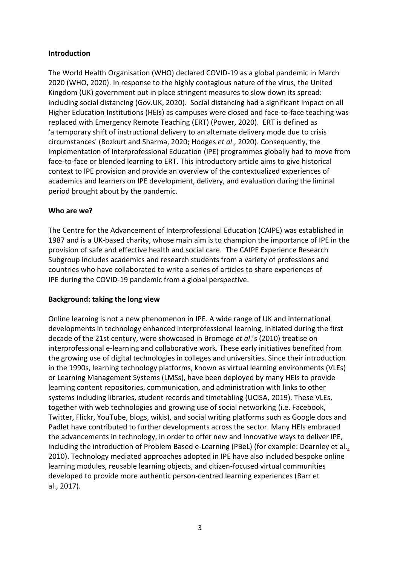#### **Introduction**

The World Health Organisation (WHO) declared COVID-19 as a global pandemic in March 2020 (WHO, 2020). In response to the highly contagious nature of the virus, the United Kingdom (UK) government put in place stringent measures to slow down its spread: including social distancing (Gov.UK, 2020). Social distancing had a significant impact on all Higher Education Institutions (HEIs) as campuses were closed and face-to-face teaching was replaced with Emergency Remote Teaching (ERT) (Power, 2020). ERT is defined as 'a temporary shift of instructional delivery to an alternate delivery mode due to crisis circumstances' (Bozkurt and Sharma, 2020; Hodges *et al*., 2020). Consequently, the implementation of Interprofessional Education (IPE) programmes globally had to move from face-to-face or blended learning to ERT. This introductory article aims to give historical context to IPE provision and provide an overview of the contextualized experiences of academics and learners on IPE development, delivery, and evaluation during the liminal period brought about by the pandemic.

#### **Who are we?**

The Centre for the Advancement of Interprofessional Education (CAIPE) was established in 1987 and is a UK-based charity, whose main aim is to champion the importance of IPE in the provision of safe and effective health and social care. The CAIPE Experience Research Subgroup includes academics and research students from a variety of professions and countries who have collaborated to write a series of articles to share experiences of IPE during the COVID-19 pandemic from a global perspective.

#### **Background: taking the long view**

Online learning is not a new phenomenon in IPE. A wide range of UK and international developments in technology enhanced interprofessional learning, initiated during the first decade of the 21st century, were showcased in Bromage *et al*.'s (2010) treatise on interprofessional e-learning and collaborative work. These early initiatives benefited from the growing use of digital technologies in colleges and universities. Since their introduction in the 1990s, learning technology platforms, known as virtual learning environments (VLEs) or Learning Management Systems (LMSs), have been deployed by many HEIs to provide learning content repositories, communication, and administration with links to other systems including libraries, student records and timetabling (UCISA, 2019). These VLEs, together with web technologies and growing use of social networking (i.e. Facebook, Twitter, Flickr, YouTube, blogs, wikis), and social writing platforms such as Google docs and Padlet have contributed to further developments across the sector. Many HEIs embraced the advancements in technology, in order to offer new and innovative ways to deliver IPE, including the introduction of Problem Based e-Learning (PBeL) (for example: Dearnley et al., 2010). Technology mediated approaches adopted in IPE have also included bespoke online learning modules, reusable learning objects, and citizen-focused virtual communities developed to provide more authentic person-centred learning experiences (Barr et al., 2017).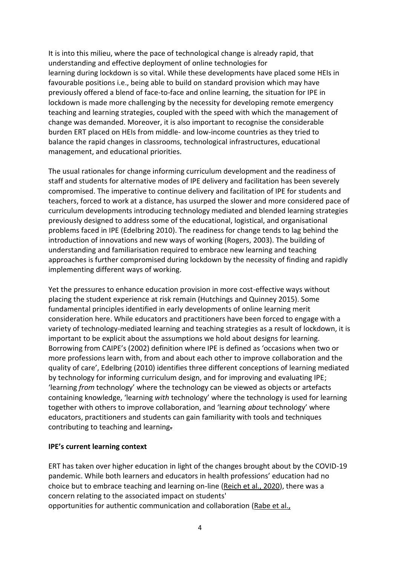It is into this milieu, where the pace of technological change is already rapid, that understanding and effective deployment of online technologies for learning during lockdown is so vital. While these developments have placed some HEIs in favourable positions i.e., being able to build on standard provision which may have previously offered a blend of face-to-face and online learning, the situation for IPE in lockdown is made more challenging by the necessity for developing remote emergency teaching and learning strategies, coupled with the speed with which the management of change was demanded. Moreover, it is also important to recognise the considerable burden ERT placed on HEIs from middle- and low-income countries as they tried to balance the rapid changes in classrooms, technological infrastructures, educational management, and educational priorities.

The usual rationales for change informing curriculum development and the readiness of staff and students for alternative modes of IPE delivery and facilitation has been severely compromised. The imperative to continue delivery and facilitation of IPE for students and teachers, forced to work at a distance, has usurped the slower and more considered pace of curriculum developments introducing technology mediated and blended learning strategies previously designed to address some of the educational, logistical, and organisational problems faced in IPE (Edelbring 2010). The readiness for change tends to lag behind the introduction of innovations and new ways of working (Rogers, 2003). The building of understanding and familiarisation required to embrace new learning and teaching approaches is further compromised during lockdown by the necessity of finding and rapidly implementing different ways of working.

Yet the pressures to enhance education provision in more cost-effective ways without placing the student experience at risk remain (Hutchings and Quinney 2015). Some fundamental principles identified in early developments of online learning merit consideration here. While educators and practitioners have been forced to engage with a variety of technology-mediated learning and teaching strategies as a result of lockdown, it is important to be explicit about the assumptions we hold about designs for learning. Borrowing from CAIPE's (2002) definition where IPE is defined as 'occasions when two or more professions learn with, from and about each other to improve collaboration and the quality of care', Edelbring (2010) identifies three different conceptions of learning mediated by technology for informing curriculum design, and for improving and evaluating IPE; 'learning *from* technology' where the technology can be viewed as objects or artefacts containing knowledge, 'learning *with* technology' where the technology is used for learning together with others to improve collaboration, and 'learning *about* technology' where educators, practitioners and students can gain familiarity with tools and techniques contributing to teaching and learning.

#### **IPE's current learning context**

ERT has taken over higher education in light of the changes brought about by the COVID-19 pandemic. While both learners and educators in health professions' education had no choice but to embrace teaching and learning on-line (Reich et al., 2020), there was a concern relating to the associated impact on students' opportunities for authentic communication and collaboration (Rabe et al.,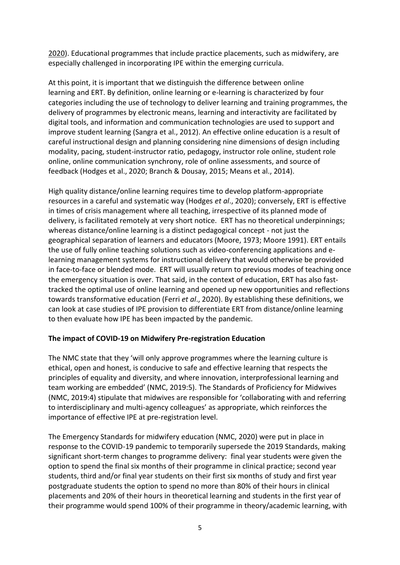2020). Educational programmes that include practice placements, such as midwifery, are especially challenged in incorporating IPE within the emerging curricula.

At this point, it is important that we distinguish the difference between online learning and ERT. By definition, online learning or e-learning is characterized by four categories including the use of technology to deliver learning and training programmes, the delivery of programmes by electronic means, learning and interactivity are facilitated by digital tools, and information and communication technologies are used to support and improve student learning (Sangra et al., 2012). An effective online education is a result of careful instructional design and planning considering nine dimensions of design including modality, pacing, student-instructor ratio, pedagogy, instructor role online, student role online, online communication synchrony, role of online assessments, and source of feedback (Hodges et al., 2020; Branch & Dousay, 2015; Means et al., 2014).

High quality distance/online learning requires time to develop platform-appropriate resources in a careful and systematic way (Hodges *et al*., 2020); conversely, ERT is effective in times of crisis management where all teaching, irrespective of its planned mode of delivery, is facilitated remotely at very short notice. ERT has no theoretical underpinnings; whereas distance/online learning is a distinct pedagogical concept - not just the geographical separation of learners and educators (Moore, 1973; Moore 1991). ERT entails the use of fully online teaching solutions such as video-conferencing applications and elearning management systems for instructional delivery that would otherwise be provided in face-to-face or blended mode. ERT will usually return to previous modes of teaching once the emergency situation is over. That said, in the context of education, ERT has also fasttracked the optimal use of online learning and opened up new opportunities and reflections towards transformative education (Ferri *et al*., 2020). By establishing these definitions, we can look at case studies of IPE provision to differentiate ERT from distance/online learning to then evaluate how IPE has been impacted by the pandemic.

## **The impact of COVID-19 on Midwifery Pre-registration Education**

The NMC state that they 'will only approve programmes where the learning culture is ethical, open and honest, is conducive to safe and effective learning that respects the principles of equality and diversity, and where innovation, interprofessional learning and team working are embedded' (NMC, 2019:5). The Standards of Proficiency for Midwives (NMC, 2019:4) stipulate that midwives are responsible for 'collaborating with and referring to interdisciplinary and multi-agency colleagues' as appropriate, which reinforces the importance of effective IPE at pre-registration level.

The Emergency Standards for midwifery education (NMC, 2020) were put in place in response to the COVID-19 pandemic to temporarily supersede the 2019 Standards, making significant short-term changes to programme delivery: final year students were given the option to spend the final six months of their programme in clinical practice; second year students, third and/or final year students on their first six months of study and first year postgraduate students the option to spend no more than 80% of their hours in clinical placements and 20% of their hours in theoretical learning and students in the first year of their programme would spend 100% of their programme in theory/academic learning, with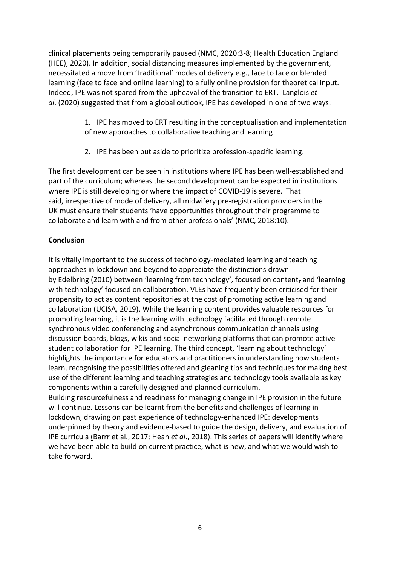clinical placements being temporarily paused (NMC, 2020:3-8; Health Education England (HEE), 2020). In addition, social distancing measures implemented by the government, necessitated a move from 'traditional' modes of delivery e.g., face to face or blended learning (face to face and online learning) to a fully online provision for theoretical input. Indeed, IPE was not spared from the upheaval of the transition to ERT. Langlois *et al*. (2020) suggested that from a global outlook, IPE has developed in one of two ways:

- 1. IPE has moved to ERT resulting in the conceptualisation and implementation of new approaches to collaborative teaching and learning
- 2. IPE has been put aside to prioritize profession-specific learning.

The first development can be seen in institutions where IPE has been well-established and part of the curriculum; whereas the second development can be expected in institutions where IPE is still developing or where the impact of COVID-19 is severe. That said, irrespective of mode of delivery, all midwifery pre-registration providers in the UK must ensure their students 'have opportunities throughout their programme to collaborate and learn with and from other professionals' (NMC, 2018:10).

## **Conclusion**

It is vitally important to the success of technology-mediated learning and teaching approaches in lockdown and beyond to appreciate the distinctions drawn by Edelbring (2010) between 'learning from technology', focused on content, and 'learning with technology' focused on collaboration. VLEs have frequently been criticised for their propensity to act as content repositories at the cost of promoting active learning and collaboration (UCISA, 2019). While the learning content provides valuable resources for promoting learning, it is the learning with technology facilitated through remote synchronous video conferencing and asynchronous communication channels using discussion boards, blogs, wikis and social networking platforms that can promote active student collaboration for IPE learning. The third concept, 'learning about technology' highlights the importance for educators and practitioners in understanding how students learn, recognising the possibilities offered and gleaning tips and techniques for making best use of the different learning and teaching strategies and technology tools available as key components within a carefully designed and planned curriculum. Building resourcefulness and readiness for managing change in IPE provision in the future will continue. Lessons can be learnt from the benefits and challenges of learning in

lockdown, drawing on past experience of technology-enhanced IPE: developments underpinned by theory and evidence-based to guide the design, delivery, and evaluation of IPE curricula (Barrr et al., 2017; Hean *et al*., 2018). This series of papers will identify where we have been able to build on current practice, what is new, and what we would wish to take forward.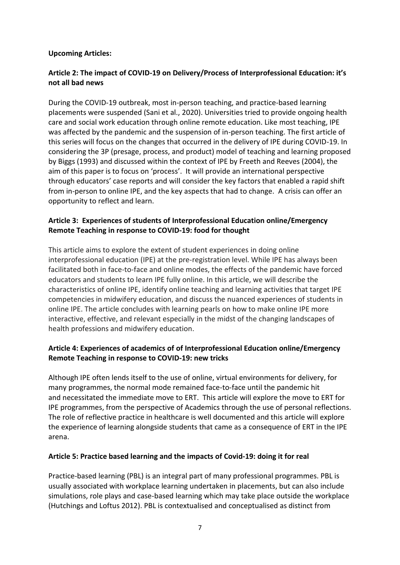#### **Upcoming Articles:**

# **Article 2: The impact of COVID-19 on Delivery/Process of Interprofessional Education: it's not all bad news**

During the COVID-19 outbreak, most in-person teaching, and practice-based learning placements were suspended (Sani et al., 2020). Universities tried to provide ongoing health care and social work education through online remote education. Like most teaching, IPE was affected by the pandemic and the suspension of in-person teaching. The first article of this series will focus on the changes that occurred in the delivery of IPE during COVID-19. In considering the 3P (presage, process, and product) model of teaching and learning proposed by Biggs (1993) and discussed within the context of IPE by Freeth and Reeves (2004), the aim of this paper is to focus on 'process'. It will provide an international perspective through educators' case reports and will consider the key factors that enabled a rapid shift from in-person to online IPE, and the key aspects that had to change. A crisis can offer an opportunity to reflect and learn.

# **Article 3:  Experiences of students of Interprofessional Education online/Emergency Remote Teaching in response to COVID-19: food for thought**

This article aims to explore the extent of student experiences in doing online interprofessional education (IPE) at the pre-registration level. While IPE has always been facilitated both in face-to-face and online modes, the effects of the pandemic have forced educators and students to learn IPE fully online. In this article, we will describe the characteristics of online IPE, identify online teaching and learning activities that target IPE competencies in midwifery education, and discuss the nuanced experiences of students in online IPE. The article concludes with learning pearls on how to make online IPE more interactive, effective, and relevant especially in the midst of the changing landscapes of health professions and midwifery education.

# **Article 4: Experiences of academics of of Interprofessional Education online/Emergency Remote Teaching in response to COVID-19: new tricks**

Although IPE often lends itself to the use of online, virtual environments for delivery, for many programmes, the normal mode remained face-to-face until the pandemic hit and necessitated the immediate move to ERT. This article will explore the move to ERT for IPE programmes, from the perspective of Academics through the use of personal reflections. The role of reflective practice in healthcare is well documented and this article will explore the experience of learning alongside students that came as a consequence of ERT in the IPE arena.

## **Article 5: Practice based learning and the impacts of Covid-19: doing it for real**

Practice-based learning (PBL) is an integral part of many professional programmes. PBL is usually associated with workplace learning undertaken in placements, but can also include simulations, role plays and case-based learning which may take place outside the workplace (Hutchings and Loftus 2012). PBL is contextualised and conceptualised as distinct from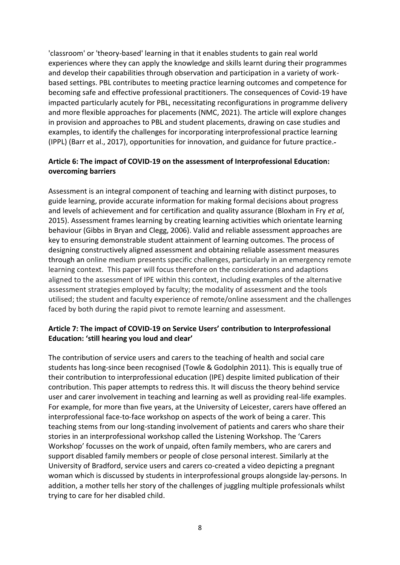'classroom' or 'theory-based' learning in that it enables students to gain real world experiences where they can apply the knowledge and skills learnt during their programmes and develop their capabilities through observation and participation in a variety of workbased settings. PBL contributes to meeting practice learning outcomes and competence for becoming safe and effective professional practitioners. The consequences of Covid-19 have impacted particularly acutely for PBL, necessitating reconfigurations in programme delivery and more flexible approaches for placements (NMC, 2021). The article will explore changes in provision and approaches to PBL and student placements, drawing on case studies and examples, to identify the challenges for incorporating interprofessional practice learning (IPPL) (Barr et al., 2017), opportunities for innovation, and guidance for future practice.

# **Article 6: The impact of COVID-19 on the assessment of Interprofessional Education: overcoming barriers**

Assessment is an integral component of teaching and learning with distinct purposes, to guide learning, provide accurate information for making formal decisions about progress and levels of achievement and for certification and quality assurance (Bloxham in Fry *et al*, 2015). Assessment frames learning by creating learning activities which orientate learning behaviour (Gibbs in Bryan and Clegg, 2006). Valid and reliable assessment approaches are key to ensuring demonstrable student attainment of learning outcomes. The process of designing constructively aligned assessment and obtaining reliable assessment measures through an online medium presents specific challenges, particularly in an emergency remote learning context. This paper will focus therefore on the considerations and adaptions aligned to the assessment of IPE within this context, including examples of the alternative assessment strategies employed by faculty; the modality of assessment and the tools utilised; the student and faculty experience of remote/online assessment and the challenges faced by both during the rapid pivot to remote learning and assessment.

# **Article 7: The impact of COVID-19 on Service Users' contribution to Interprofessional Education: 'still hearing you loud and clear'**

The contribution of service users and carers to the teaching of health and social care students has long-since been recognised (Towle & Godolphin 2011). This is equally true of their contribution to interprofessional education (IPE) despite limited publication of their contribution. This paper attempts to redress this. It will discuss the theory behind service user and carer involvement in teaching and learning as well as providing real-life examples. For example, for more than five years, at the University of Leicester, carers have offered an interprofessional face-to-face workshop on aspects of the work of being a carer. This teaching stems from our long-standing involvement of patients and carers who share their stories in an interprofessional workshop called the Listening Workshop. The 'Carers Workshop' focusses on the work of unpaid, often family members, who are carers and support disabled family members or people of close personal interest. Similarly at the University of Bradford, service users and carers co-created a video depicting a pregnant woman which is discussed by students in interprofessional groups alongside lay-persons. In addition, a mother tells her story of the challenges of juggling multiple professionals whilst trying to care for her disabled child.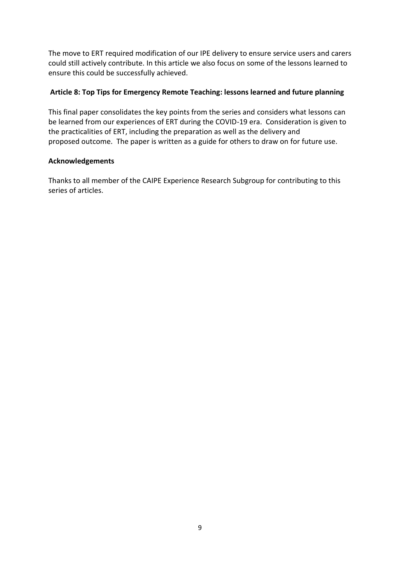The move to ERT required modification of our IPE delivery to ensure service users and carers could still actively contribute. In this article we also focus on some of the lessons learned to ensure this could be successfully achieved.

## **Article 8: Top Tips for Emergency Remote Teaching: lessons learned and future planning**

This final paper consolidates the key points from the series and considers what lessons can be learned from our experiences of ERT during the COVID-19 era. Consideration is given to the practicalities of ERT, including the preparation as well as the delivery and proposed outcome. The paper is written as a guide for others to draw on for future use.

## **Acknowledgements**

Thanks to all member of the CAIPE Experience Research Subgroup for contributing to this series of articles.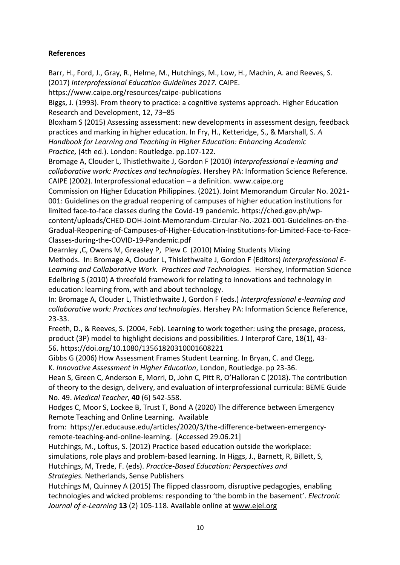# **References**

Barr, H., Ford, J., Gray, R., Helme, M., Hutchings, M., Low, H., Machin, A. and Reeves, S. (2017) *Interprofessional Education Guidelines 2017.* CAIPE.

https://www.caipe.org/resources/caipe-publications

Biggs, J. (1993). From theory to practice: a cognitive systems approach. Higher Education Research and Development, 12, 73–85

Bloxham S (2015) Assessing assessment: new developments in assessment design, feedback practices and marking in higher education. In Fry, H., Ketteridge, S., & Marshall, S. *A Handbook for Learning and Teaching in Higher Education: Enhancing Academic Practice,* (4th ed.). London: Routledge. pp.107-122.

Bromage A, Clouder L, Thistlethwaite J, Gordon F (2010) *Interprofessional e-learning and collaborative work: Practices and technologies*. Hershey PA: Information Science Reference. CAIPE (2002). Interprofessional education – a definition. www.caipe.org

Commission on Higher Education Philippines. (2021). Joint Memorandum Circular No. 2021- 001: Guidelines on the gradual reopening of campuses of higher education institutions for limited face-to-face classes during the Covid-19 pandemic. https://ched.gov.ph/wpcontent/uploads/CHED-DOH-Joint-Memorandum-Circular-No.-2021-001-Guidelines-on-the-Gradual-Reopening-of-Campuses-of-Higher-Education-Institutions-for-Limited-Face-to-Face-Classes-during-the-COVID-19-Pandemic.pdf

Dearnley ,C, Owens M, Greasley P, Plew C (2010) Mixing Students Mixing

Methods. In: Bromage A, Clouder L, Thislethwaite J, Gordon F (Editors) *Interprofessional E-Learning and Collaborative Work. Practices and Technologies.* Hershey, Information Science Edelbring S (2010) A threefold framework for relating to innovations and technology in education: learning from, with and about technology.

In: Bromage A, Clouder L, Thistlethwaite J, Gordon F (eds.) *Interprofessional e-learning and collaborative work: Practices and technologies*. Hershey PA: Information Science Reference, 23-33.

Freeth, D., & Reeves, S. (2004, Feb). Learning to work together: using the presage, process, product (3P) model to highlight decisions and possibilities. J Interprof Care, 18(1), 43- 56. https://doi.org/10.1080/13561820310001608221

Gibbs G (2006) How Assessment Frames Student Learning. In Bryan, C. and Clegg, K. *Innovative Assessment in Higher Education*, London, Routledge. pp 23-36.

Hean S, Green C, Anderson E, Morri, D, John C, Pitt R, O'Halloran C (2018). The contribution of theory to the design, delivery, and evaluation of interprofessional curricula: BEME Guide No. 49. *Medical Teacher*, **40** (6) 542-558.

Hodges C, Moor S, Lockee B, Trust T, Bond A (2020) The difference between Emergency Remote Teaching and Online Learning. Available

from: https://er.educause.edu/articles/2020/3/the-difference-between-emergencyremote-teaching-and-online-learning. [Accessed 29.06.21]

Hutchings, M., Loftus, S. (2012) Practice based education outside the workplace: simulations, role plays and problem-based learning. In Higgs, J., Barnett, R, Billett, S, Hutchings, M, Trede, F. (eds). *Practice-Based Education: Perspectives and* 

*Strategies.* Netherlands, Sense Publishers

Hutchings M, Quinney A (2015) The flipped classroom, disruptive pedagogies, enabling technologies and wicked problems: responding to 'the bomb in the basement'. *Electronic Journal of e-Learning* **13** (2) 105-118. Available online at www.ejel.org